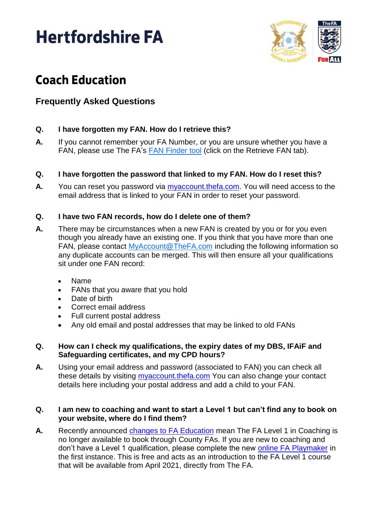# **Hertfordshire FA**



## **Coach Education**

### **Frequently Asked Questions**

#### **Q. I have forgotten my FAN. How do I retrieve this?**

**A.** If you cannot remember your FA Number, or you are unsure whether you have a FAN, please use The FA's [FAN Finder tool](https://secure.thefa.com/fan/RetrieveFANDetails.aspx) (click on the Retrieve FAN tab).

#### **Q. I have forgotten the password that linked to my FAN. How do I reset this?**

**A.** You can reset you password via [myaccount.thefa.com.](https://myaccount.thefa.com/) You will need access to the email address that is linked to your FAN in order to reset your password.

#### **Q. I have two FAN records, how do I delete one of them?**

- **A.** There may be circumstances when a new FAN is created by you or for you even though you already have an existing one. If you think that you have more than one FAN, please contact [MyAccount@TheFA.com](mailto:MyAccount@TheFA.com) including the following information so any duplicate accounts can be merged. This will then ensure all your qualifications sit under one FAN record:
	- Name
	- FANs that you aware that you hold
	- Date of birth
	- Correct email address
	- Full current postal address
	- Any old email and postal addresses that may be linked to old FANs

#### **Q. How can I check my qualifications, the expiry dates of my DBS, IFAiF and Safeguarding certificates, and my CPD hours?**

**A.** Using your email address and password (associated to FAN) you can check all these details by visiting [myaccount.thefa.com](https://myaccount.thefa.com/) You can also change your contact details here including your postal address and add a child to your FAN.

#### **Q. I am new to coaching and want to start a Level 1 but can't find any to book on your website, where do I find them?**

**A.** Recently announced [changes to FA Education](https://www.hertfordshirefa.com/news/2020/nov/19/changes-to-coach-education) mean The FA Level 1 in Coaching is no longer available to book through County FAs. If you are new to coaching and don't have a Level 1 qualification, please complete the new [online FA Playmaker](https://thebootroom.thefa.com/learning/qualifications/the-fa-playmaker) in the first instance. This is free and acts as an introduction to the FA Level 1 course that will be available from April 2021, directly from The FA.